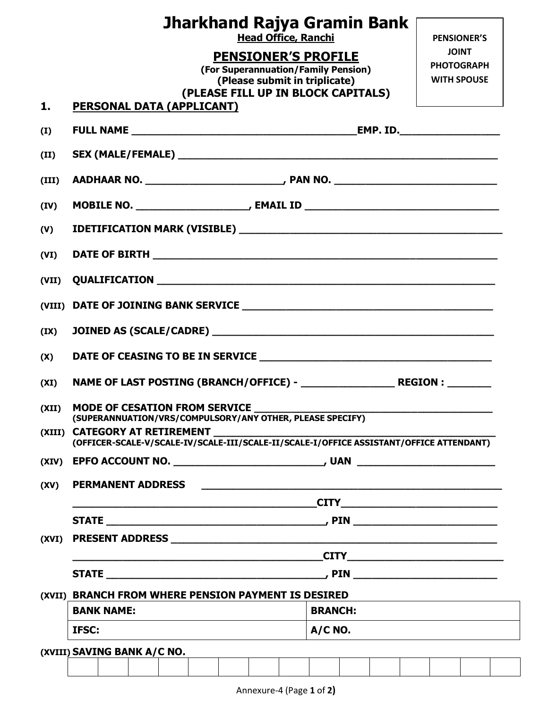|        | Jharkhand Rajya Gramin Bank<br><b>Head Office, Ranchi</b>                                                                         |                                                                                                                      | <b>PENSIONER'S</b>                                      |  |  |
|--------|-----------------------------------------------------------------------------------------------------------------------------------|----------------------------------------------------------------------------------------------------------------------|---------------------------------------------------------|--|--|
|        | PENSIONER'S PROFILE<br>(For Superannuation/Family Pension)<br>(Please submit in triplicate)<br>(PLEASE FILL UP IN BLOCK CAPITALS) |                                                                                                                      | <b>JOINT</b><br><b>PHOTOGRAPH</b><br><b>WITH SPOUSE</b> |  |  |
| 1.     | PERSONAL DATA (APPLICANT)                                                                                                         |                                                                                                                      |                                                         |  |  |
| (I)    |                                                                                                                                   |                                                                                                                      |                                                         |  |  |
| (II)   |                                                                                                                                   |                                                                                                                      |                                                         |  |  |
| (III)  |                                                                                                                                   |                                                                                                                      |                                                         |  |  |
| (IV)   |                                                                                                                                   |                                                                                                                      |                                                         |  |  |
| (V)    |                                                                                                                                   |                                                                                                                      |                                                         |  |  |
| (VI)   |                                                                                                                                   |                                                                                                                      |                                                         |  |  |
| (VII)  |                                                                                                                                   |                                                                                                                      |                                                         |  |  |
| (VIII) |                                                                                                                                   |                                                                                                                      |                                                         |  |  |
| (IX)   |                                                                                                                                   |                                                                                                                      |                                                         |  |  |
| (X)    |                                                                                                                                   |                                                                                                                      |                                                         |  |  |
| (XI)   |                                                                                                                                   |                                                                                                                      |                                                         |  |  |
| (XII)  | <b>MODE OF CESATION FROM SERVICE</b><br>(SUPERANNUATION/VRS/COMPULSORY/ANY OTHER, PLEASE SPECIFY)                                 |                                                                                                                      |                                                         |  |  |
|        | (XIII) CATEGORY AT RETIREMENT<br>(OFFICER-SCALE-V/SCALE-IV/SCALE-III/SCALE-II/SCALE-I/OFFICE ASSISTANT/OFFICE ATTENDANT)          |                                                                                                                      |                                                         |  |  |
|        |                                                                                                                                   |                                                                                                                      |                                                         |  |  |
| (XV)   | <b>PERMANENT ADDRESS</b>                                                                                                          | <u> 1989 - Johann John Harry, mars ar yn y brenin y brenin y brenin y brenin y brenin y brenin y brenin y brenin</u> |                                                         |  |  |
|        | $CITY$ and the contract of the contract of $CITY$ and $CITY$ and $CITY$ are contract of the contract of $CITY$ and $CYZ$          |                                                                                                                      |                                                         |  |  |
|        |                                                                                                                                   |                                                                                                                      |                                                         |  |  |
|        |                                                                                                                                   |                                                                                                                      |                                                         |  |  |
|        | CITY                                                                                                                              |                                                                                                                      |                                                         |  |  |
|        |                                                                                                                                   |                                                                                                                      |                                                         |  |  |
|        | (XVII) BRANCH FROM WHERE PENSION PAYMENT IS DESIRED<br><b>BANK NAME:</b>                                                          | <b>BRANCH:</b>                                                                                                       |                                                         |  |  |
|        |                                                                                                                                   | $A/C$ NO.                                                                                                            |                                                         |  |  |
|        |                                                                                                                                   |                                                                                                                      |                                                         |  |  |
|        | IFSC:<br>(XVIII) SAVING BANK A/C NO.                                                                                              |                                                                                                                      |                                                         |  |  |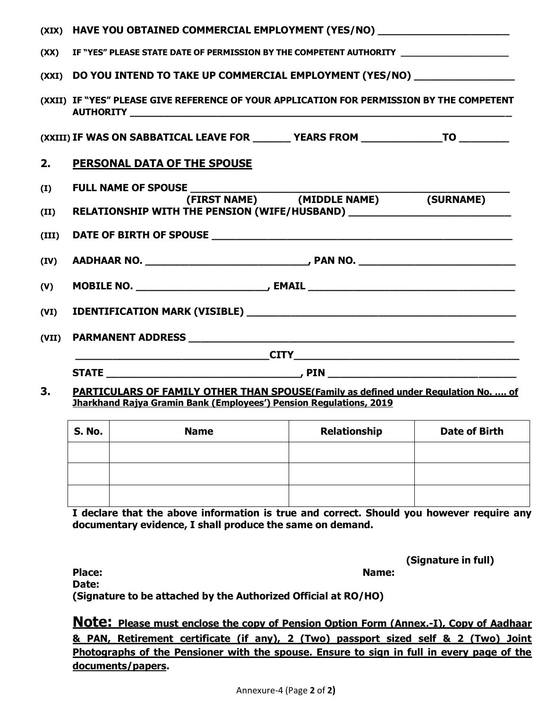| (XIX) | HAVE YOU OBTAINED COMMERCIAL EMPLOYMENT (YES/NO) _______________________________                                                                                |
|-------|-----------------------------------------------------------------------------------------------------------------------------------------------------------------|
| (XX)  | IF "YES" PLEASE STATE DATE OF PERMISSION BY THE COMPETENT AUTHORITY _____________                                                                               |
| (XXI) | DO YOU INTEND TO TAKE UP COMMERCIAL EMPLOYMENT (YES/NO) __________________                                                                                      |
|       | (XXII) IF "YES" PLEASE GIVE REFERENCE OF YOUR APPLICATION FOR PERMISSION BY THE COMPETENT                                                                       |
|       | (XXIII) IF WAS ON SABBATICAL LEAVE FOR ________ YEARS FROM ________________TO __________                                                                        |
| 2.    | <b>PERSONAL DATA OF THE SPOUSE</b>                                                                                                                              |
| (I)   |                                                                                                                                                                 |
| (II)  | (SURNAME)<br>RELATIONSHIP WITH THE PENSION (WIFE/HUSBAND) ___________________________________                                                                   |
| (III) |                                                                                                                                                                 |
| (IV)  |                                                                                                                                                                 |
| (V)   |                                                                                                                                                                 |
| (VI)  |                                                                                                                                                                 |
| (VII) |                                                                                                                                                                 |
|       |                                                                                                                                                                 |
|       |                                                                                                                                                                 |
| 3.    | PARTICULARS OF FAMILY OTHER THAN SPOUSE(Family as defined under Regulation No.  of<br><b>Jharkhand Rajya Gramin Bank (Employees') Pension Regulations, 2019</b> |

| <b>S. No.</b> | <b>Name</b> | <b>Relationship</b> | <b>Date of Birth</b> |
|---------------|-------------|---------------------|----------------------|
|               |             |                     |                      |
|               |             |                     |                      |
|               |             |                     |                      |

**I declare that the above information is true and correct. Should you however require any documentary evidence, I shall produce the same on demand.** 

|  |  | (Signature in full) |  |  |  |
|--|--|---------------------|--|--|--|
|--|--|---------------------|--|--|--|

**Place: Name: Date: (Signature to be attached by the Authorized Official at RO/HO)**

**Note: Please must enclose the copy of Pension Option Form (Annex.-I), Copy of Aadhaar & PAN, Retirement certificate (if any), 2 (Two) passport sized self & 2 (Two) Joint Photographs of the Pensioner with the spouse. Ensure to sign in full in every page of the documents/papers.**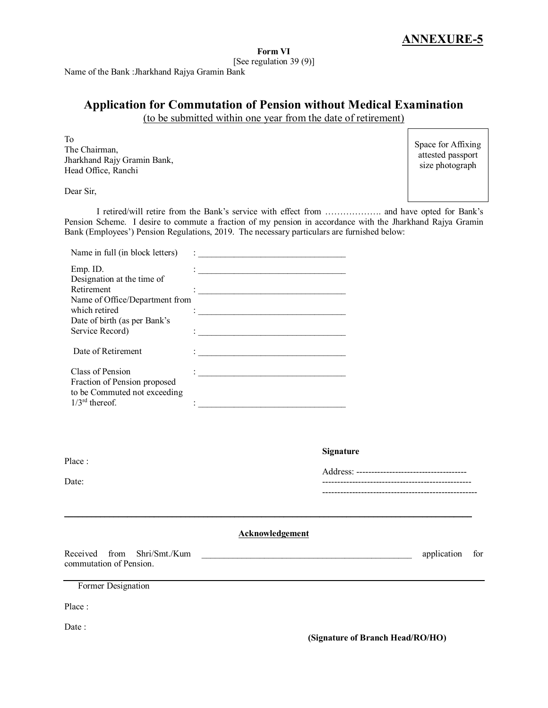#### **Form VI** [See regulation 39 (9)]

Name of the Bank :Jharkhand Rajya Gramin Bank

# **Application for Commutation of Pension without Medical Examination**

(to be submitted within one year from the date of retirement)

To The Chairman, Jharkhand Rajy Gramin Bank, Head Office, Ranchi

Space for Affixing attested passport size photograph

Dear Sir,

I retired/will retire from the Bank's service with effect from ………………. and have opted for Bank's Pension Scheme. I desire to commute a fraction of my pension in accordance with the Jharkhand Rajya Gramin Bank (Employees') Pension Regulations, 2019. The necessary particulars are furnished below:

| Name in full (in block letters)                                                                                                                                                  | <u> 1989 - Johann John Stoff, deutscher Stoffen und der Stoffen und der Stoffen und der Stoffen und der Stoffen un</u>                                                                                                                      |             |     |
|----------------------------------------------------------------------------------------------------------------------------------------------------------------------------------|---------------------------------------------------------------------------------------------------------------------------------------------------------------------------------------------------------------------------------------------|-------------|-----|
| Emp. ID.<br>Designation at the time of<br>Retirement<br>Name of Office/Department from<br>which retired<br>Date of birth (as per Bank's<br>Service Record)<br>Date of Retirement | <u> 1980 - Johann Barbara, martxa alemaniar a</u><br><u> 1990 - Johann Barbara, martin amerikan basal da</u><br><u> 1989 - Johann John Stein, martin de Francisco (f. 1989)</u><br><u> 1989 - Johann John Stein, marwolaethau (b. 1989)</u> |             |     |
| Class of Pension<br>Fraction of Pension proposed<br>to be Commuted not exceeding<br>$1/3^{\text{rd}}$ thereof.                                                                   | <u> 1980 - Johann John Stone, markin fan it ferstjer fan it ferstjer fan it ferstjer fan it ferstjer fan it fers</u><br><u> 1990 - Johann John Stoff, amerikansk politiker (</u>                                                            |             |     |
| Place:<br>Date:                                                                                                                                                                  | <b>Signature</b><br>-----------------------------------                                                                                                                                                                                     |             |     |
|                                                                                                                                                                                  | <b>Acknowledgement</b>                                                                                                                                                                                                                      |             |     |
| Received<br>from<br>Shri/Smt./Kum<br>commutation of Pension.                                                                                                                     | <u> 1989 - Johann Barbara, martxa alemaniar arg</u>                                                                                                                                                                                         | application | for |
| Former Designation                                                                                                                                                               |                                                                                                                                                                                                                                             |             |     |
| Place:                                                                                                                                                                           |                                                                                                                                                                                                                                             |             |     |
| Date:                                                                                                                                                                            | (Signature of Branch Head/RO/HO)                                                                                                                                                                                                            |             |     |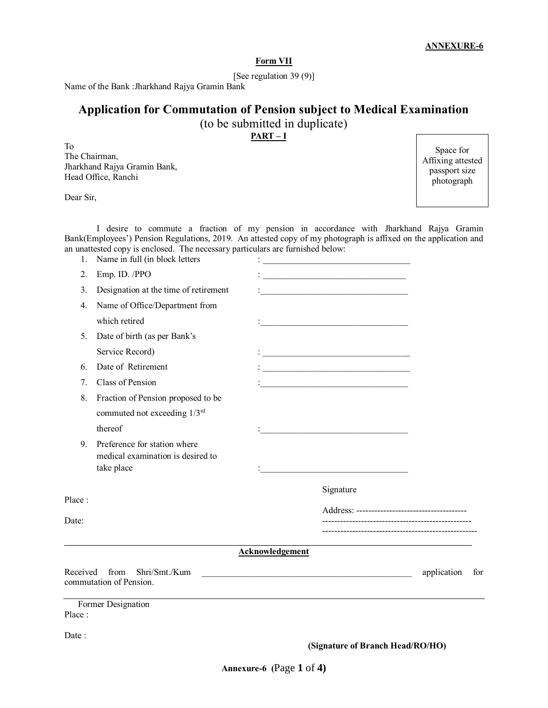#### **Form VII**

[See regulation 39 (9)]

Name of the Bank :Jharkhand Rajya Gramin Bank

# **Application for Commutation of Pension subject to Medical Examination**

(to be submitted in duplicate)

**PART – I**

To The Chairman, Jharkhand Rajya Gramin Bank, Head Office, Ranchi

Dear Sir,

Space for Affixing attested passport size photograph

I desire to commute a fraction of my pension in accordance with Jharkhand Rajya Gramin Bank(Employees') Pension Regulations, 2019. An attested copy of my photograph is affixed on the application and an unattested copy is enclosed. The necessary particulars are furnished below: 1. Name in full (in block letters :

| Date:                                                                                 | (Signature of Branch Head/RO/HO)                                                                                       |                 |  |
|---------------------------------------------------------------------------------------|------------------------------------------------------------------------------------------------------------------------|-----------------|--|
| Former Designation<br>Place:                                                          |                                                                                                                        |                 |  |
| Shri/Smt./Kum<br>Received from<br>commutation of Pension.                             | Acknowledgement<br><u> 1980 - Johann John Harry, mars and deutscher Programment († 1901)</u>                           | application for |  |
|                                                                                       |                                                                                                                        |                 |  |
| Date:                                                                                 |                                                                                                                        |                 |  |
| Place:                                                                                | Signature                                                                                                              |                 |  |
| Preference for station where<br>9.<br>medical examination is desired to<br>take place | <u> 1990 - Johann Barbara, martin a</u>                                                                                |                 |  |
| thereof                                                                               |                                                                                                                        |                 |  |
| commuted not exceeding 1/3rd                                                          |                                                                                                                        |                 |  |
| Fraction of Pension proposed to be<br>8.                                              |                                                                                                                        |                 |  |
| 6.<br>Class of Pension<br>7.                                                          | <u> 1990 - Johann Barbara, martxa alemaniar a</u>                                                                      |                 |  |
| Service Record)<br>Date of Retirement                                                 |                                                                                                                        |                 |  |
| Date of birth (as per Bank's<br>5.                                                    |                                                                                                                        |                 |  |
| which retired                                                                         |                                                                                                                        |                 |  |
| Name of Office/Department from<br>4.                                                  |                                                                                                                        |                 |  |
| Designation at the time of retirement<br>3.                                           | <u> 1990 - Johann John Harry Harry Harry Harry Harry Harry Harry Harry Harry Harry Harry Harry Harry Harry Harry H</u> |                 |  |
| Emp. ID. /PPO<br>2.                                                                   |                                                                                                                        |                 |  |
|                                                                                       |                                                                                                                        |                 |  |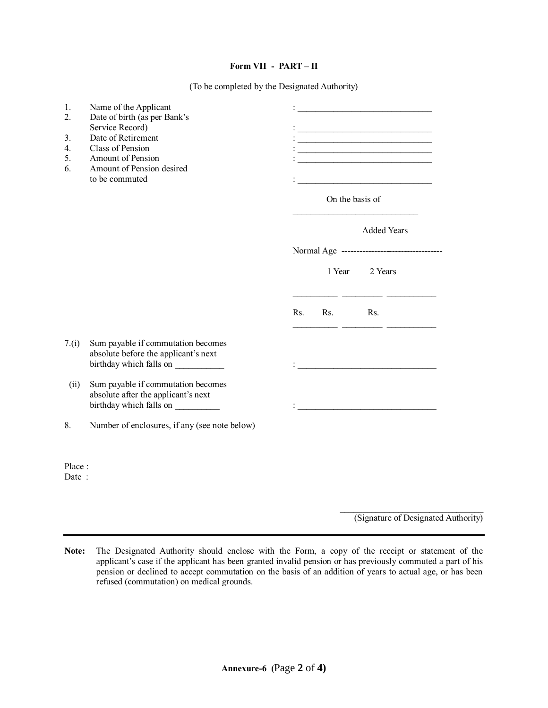#### **Form VII - PART – II**

(To be completed by the Designated Authority)

| 1.<br>2.<br>3.<br>$\overline{4}$ .<br>5.<br>6. | Name of the Applicant<br>Date of birth (as per Bank's<br>Service Record)<br>Date of Retirement<br>Class of Pension<br>Amount of Pension<br>Amount of Pension desired<br>to be commuted |     | On the basis of | the control of the control of the control of the control of the control of the control of<br><u> 1980 - Johann Barn, mars ann an t-Amhain an t-Amhain an t-Amhain an t-Amhain an t-Amhain an t-Amhain an t-A</u> |
|------------------------------------------------|----------------------------------------------------------------------------------------------------------------------------------------------------------------------------------------|-----|-----------------|------------------------------------------------------------------------------------------------------------------------------------------------------------------------------------------------------------------|
|                                                |                                                                                                                                                                                        |     |                 | <b>Added Years</b>                                                                                                                                                                                               |
|                                                |                                                                                                                                                                                        |     | 1 Year          | Normal Age ----------------------------------<br>2 Years                                                                                                                                                         |
|                                                |                                                                                                                                                                                        | Rs. | Rs.             | <b>Contract Contract</b><br>Rs.                                                                                                                                                                                  |
| 7.(i)                                          | Sum payable if commutation becomes<br>absolute before the applicant's next<br>birthday which falls on                                                                                  |     |                 | <u> 1989 - Johann Barbara, martin amerikan basal dan berasal dalam basal dalam basal dalam basal dalam basal dala</u>                                                                                            |
| (ii)                                           | Sum payable if commutation becomes<br>absolute after the applicant's next<br>birthday which falls on                                                                                   |     |                 | <u> 1989 - Johann Barbara, martxa alemaniar a</u>                                                                                                                                                                |
| 8.                                             | Number of enclosures, if any (see note below)                                                                                                                                          |     |                 |                                                                                                                                                                                                                  |
| Place:<br>Date:                                |                                                                                                                                                                                        |     |                 |                                                                                                                                                                                                                  |

**Note:** The Designated Authority should enclose with the Form, a copy of the receipt or statement of the applicant's case if the applicant has been granted invalid pension or has previously commuted a part of his pension or declined to accept commutation on the basis of an addition of years to actual age, or has been refused (commutation) on medical grounds.

(Signature of Designated Authority)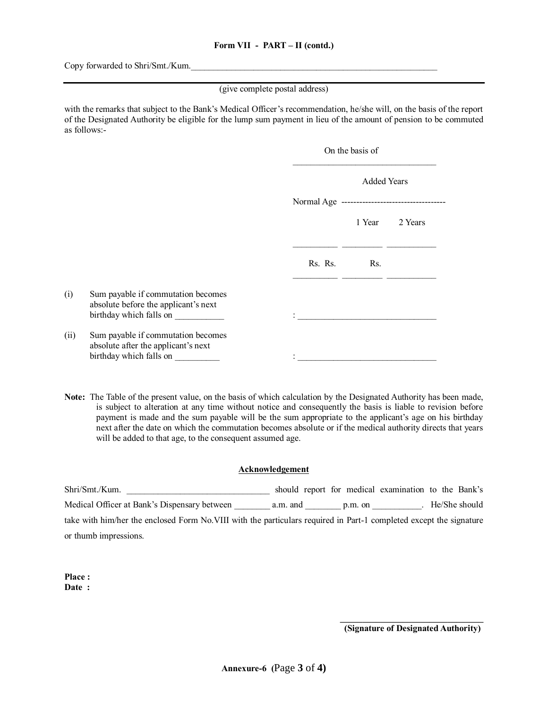Copy forwarded to Shri/Smt./Kum.

(give complete postal address)

with the remarks that subject to the Bank's Medical Officer's recommendation, he/she will, on the basis of the report of the Designated Authority be eligible for the lump sum payment in lieu of the amount of pension to be commuted as follows:-

|      |                                                                                                       | On the basis of |                    |         |  |  |
|------|-------------------------------------------------------------------------------------------------------|-----------------|--------------------|---------|--|--|
|      |                                                                                                       |                 | <b>Added Years</b> |         |  |  |
|      |                                                                                                       |                 |                    |         |  |  |
|      |                                                                                                       |                 | 1 Year             | 2 Years |  |  |
|      |                                                                                                       | Rs. Rs.         | Rs.                |         |  |  |
| (i)  | Sum payable if commutation becomes<br>absolute before the applicant's next<br>birthday which falls on |                 |                    |         |  |  |
| (ii) | Sum payable if commutation becomes<br>absolute after the applicant's next<br>birthday which falls on  |                 |                    |         |  |  |

**Note:** The Table of the present value, on the basis of which calculation by the Designated Authority has been made, is subject to alteration at any time without notice and consequently the basis is liable to revision before payment is made and the sum payable will be the sum appropriate to the applicant's age on his birthday next after the date on which the commutation becomes absolute or if the medical authority directs that years will be added to that age, to the consequent assumed age.

#### **Acknowledgement**

Shri/Smt./Kum. \_\_\_\_\_\_\_\_\_\_\_\_\_\_\_\_\_\_\_\_\_\_\_\_\_\_\_\_\_\_\_\_ should report for medical examination to the Bank's Medical Officer at Bank's Dispensary between a.m. and p.m. on Fe/She should take with him/her the enclosed Form No.VIII with the particulars required in Part-1 completed except the signature or thumb impressions.

**Place : Date :**

**\_\_\_\_\_\_\_\_\_\_\_\_\_\_\_\_\_\_\_\_\_\_\_\_\_\_\_\_\_\_\_\_ (Signature of Designated Authority)**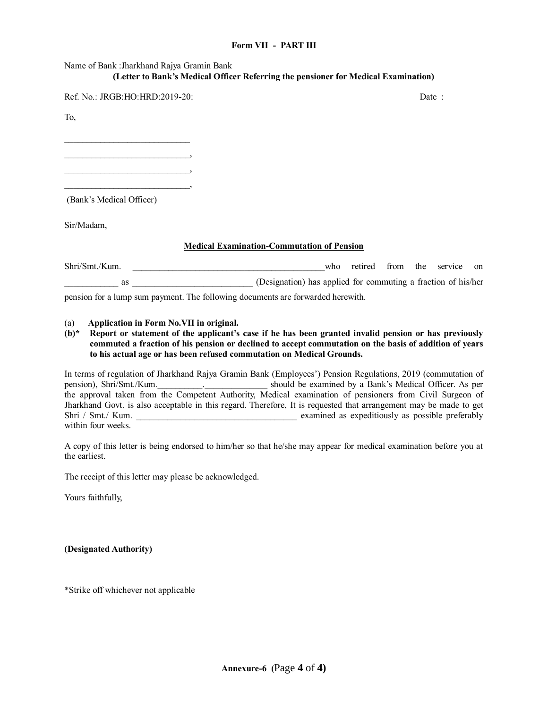#### **Form VII - PART III**

# Name of Bank :Jharkhand Rajya Gramin Bank **(Letter to Bank's Medical Officer Referring the pensioner for Medical Examination)**

Ref. No.: JRGB:HO:HRD:2019-20: Date : Date : Date : Date : Date : Date : Date : Date : Date : Date : Date : Date : Date : Date : Date : Date : Date : Date : Date : Date : Date : Date : Date : Date : Date : Date : Date : Da

To,

 $\mathcal{L}_\text{max}$  , and the set of the set of the set of the set of the set of the set of the set of the set of the set of the set of the set of the set of the set of the set of the set of the set of the set of the set of the \_\_\_\_\_\_\_\_\_\_\_\_\_\_\_\_\_\_\_\_\_\_\_\_\_\_\_\_,

\_\_\_\_\_\_\_\_\_\_\_\_\_\_\_\_\_\_\_\_\_\_\_\_\_\_\_\_, \_\_\_\_\_\_\_\_\_\_\_\_\_\_\_\_\_\_\_\_\_\_\_\_\_\_\_\_,

(Bank's Medical Officer)

Sir/Madam,

### **Medical Examination-Commutation of Pension**

Shri/Smt./Kum. \_\_\_\_\_\_\_\_\_\_\_\_\_\_\_\_\_\_\_\_\_\_\_\_\_\_\_\_\_\_\_\_\_\_\_\_\_\_\_\_\_\_\_who retired from the service on as as all the support (Designation) has applied for commuting a fraction of his/her pension for a lump sum payment. The following documents are forwarded herewith.

#### (a) **Application in Form No.VII in original.**

#### **(b)\* Report or statement of the applicant's case if he has been granted invalid pension or has previously commuted a fraction of his pension or declined to accept commutation on the basis of addition of years to his actual age or has been refused commutation on Medical Grounds.**

In terms of regulation of Jharkhand Rajya Gramin Bank (Employees') Pension Regulations, 2019 (commutation of pension), Shri/Smt./Kum. persion), Should be examined by a Bank's Medical Officer. As per the approval taken from the Competent Authority, Medical examination of pensioners from Civil Surgeon of Jharkhand Govt. is also acceptable in this regard. Therefore, It is requested that arrangement may be made to get Shri / Smt./ Kum. \_\_\_\_\_\_\_\_\_\_\_\_\_\_\_\_\_\_\_\_\_\_\_\_\_\_\_\_\_\_\_\_\_\_\_\_ examined as expeditiously as possible preferably within four weeks.

A copy of this letter is being endorsed to him/her so that he/she may appear for medical examination before you at the earliest.

The receipt of this letter may please be acknowledged.

Yours faithfully,

**(Designated Authority)**

\*Strike off whichever not applicable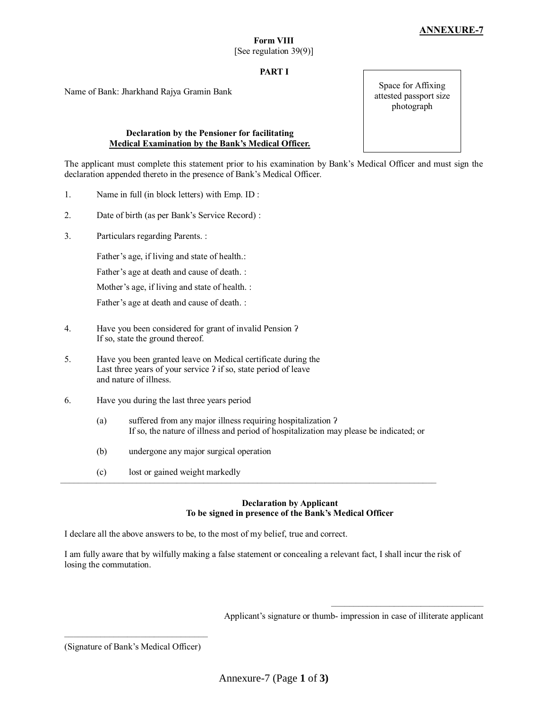### **PART I**

Name of Bank: Jharkhand Rajya Gramin Bank

#### **Declaration by the Pensioner for facilitating Medical Examination by the Bank's Medical Officer.**

The applicant must complete this statement prior to his examination by Bank's Medical Officer and must sign the declaration appended thereto in the presence of Bank's Medical Officer.

- 1. Name in full (in block letters) with Emp. ID :
- 2. Date of birth (as per Bank's Service Record) :
- 3. Particulars regarding Parents. :

Father's age, if living and state of health.:

Father's age at death and cause of death. :

Mother's age, if living and state of health. :

Father's age at death and cause of death. :

- 4. Have you been considered for grant of invalid Pension ʔ If so, state the ground thereof.
- 5. Have you been granted leave on Medical certificate during the Last three years of your service  $\lambda$  if so, state period of leave and nature of illness.
- 6. Have you during the last three years period
	- (a) suffered from any major illness requiring hospitalization ʔ If so, the nature of illness and period of hospitalization may please be indicated; or

––––––––––––––––––––––––––––––––––––––––––––––––––––––––––––––––––––––––––––––––––––

- (b) undergone any major surgical operation
- (c) lost or gained weight markedly

#### **Declaration by Applicant To be signed in presence of the Bank's Medical Officer**

I declare all the above answers to be, to the most of my belief, true and correct.

I am fully aware that by wilfully making a false statement or concealing a relevant fact, I shall incur the risk of losing the commutation.

Applicant's signature or thumb- impression in case of illiterate applicant

––––––––––––––––––––––––––––––––––

Space for Affixing attested passport size photograph

<sup>––––––––––––––––––––––––––––––––</sup> (Signature of Bank's Medical Officer)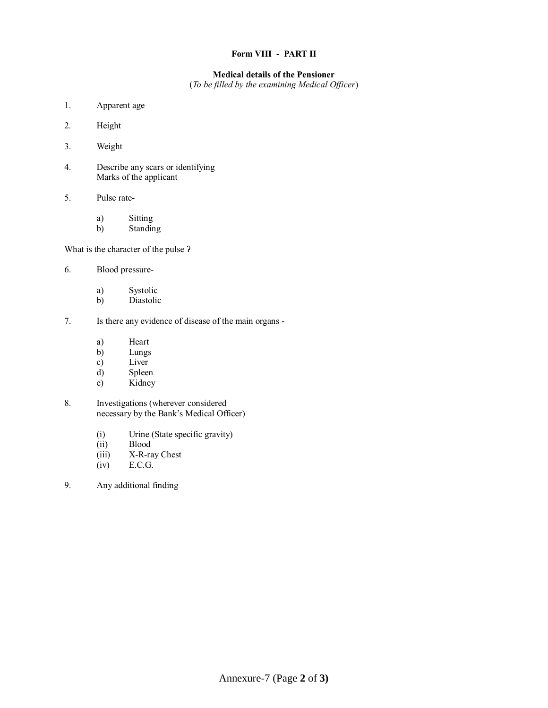### **Form VIII - PART II**

#### **Medical details of the Pensioner**

(*To be filled by the examining Medical Officer*)

- 1. Apparent age
- 2. Height
- 3. Weight
- 4. Describe any scars or identifying Marks of the applicant
- 5. Pulse rate
	- a) Sitting
	- b) Standing

What is the character of the pulse ʔ

- 6. Blood pressure
	- a) Systolic
	- b) Diastolic
- 7. Is there any evidence of disease of the main organs
	- a) Heart
	- b) Lungs
	- c) Liver
	- d) Spleen
	- e) Kidney
- 8. Investigations (wherever considered necessary by the Bank's Medical Officer)
	- (i) Urine (State specific gravity)
	- (ii) Blood<br>(iii) X-R-ra
	- X-R-ray Chest
	- (iv) E.C.G.
- 9. Any additional finding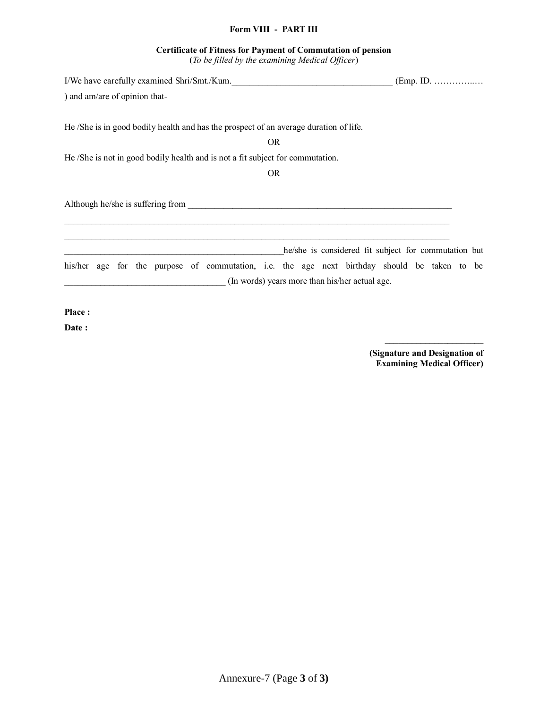### **Form VIII - PART III**

# **Certificate of Fitness for Payment of Commutation of pension**

(*To be filled by the examining Medical Officer*)

| I/We have carefully examined Shri/Smt./Kum.                                                  |                                                      |
|----------------------------------------------------------------------------------------------|------------------------------------------------------|
| ) and am/are of opinion that-                                                                |                                                      |
| He /She is in good bodily health and has the prospect of an average duration of life.        |                                                      |
| <b>OR</b>                                                                                    |                                                      |
| He /She is not in good bodily health and is not a fit subject for commutation.               |                                                      |
| <b>OR</b>                                                                                    |                                                      |
|                                                                                              |                                                      |
|                                                                                              | he/she is considered fit subject for commutation but |
| his/her age for the purpose of commutation, i.e. the age next birthday should be taken to be |                                                      |
|                                                                                              | (In words) years more than his/her actual age.       |
|                                                                                              |                                                      |

**Place :**

**Date :**

–––––––––––––––––––––– **(Signature and Designation of Examining Medical Officer)**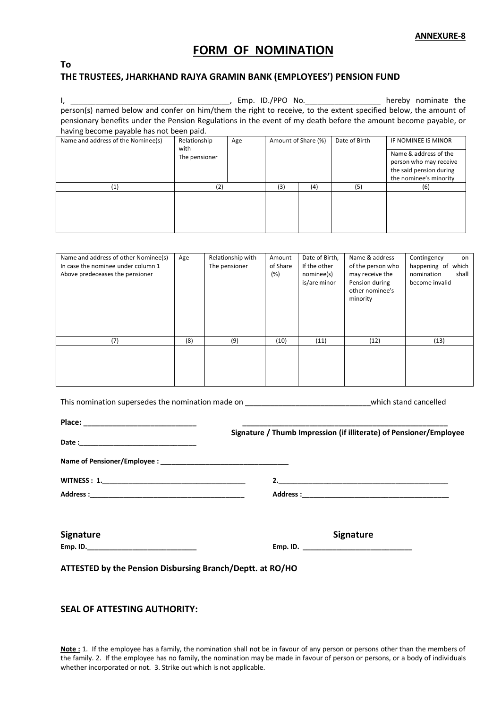# **FORM OF NOMINATION**

# **To**

## **THE TRUSTEES, JHARKHAND RAJYA GRAMIN BANK (EMPLOYEES') PENSION FUND**

I, \_\_\_\_\_\_\_\_\_\_\_\_\_\_\_\_\_\_\_\_\_\_\_\_\_\_\_\_\_\_\_\_\_\_\_\_\_\_, Emp. ID./PPO No.\_\_\_\_\_\_\_\_\_\_\_\_\_\_\_\_\_\_ hereby nominate the person(s) named below and confer on him/them the right to receive, to the extent specified below, the amount of pensionary benefits under the Pension Regulations in the event of my death before the amount become payable, or having become payable has not been paid.

| Name and address of the Nominee(s) | Relationship<br>with | Age | Amount of Share (%) |     | Date of Birth | IF NOMINEE IS MINOR                                                                                  |
|------------------------------------|----------------------|-----|---------------------|-----|---------------|------------------------------------------------------------------------------------------------------|
|                                    | The pensioner        |     |                     |     |               | Name & address of the<br>person who may receive<br>the said pension during<br>the nominee's minority |
| (1)                                |                      |     | (3)                 | (4) | (5            | (6)                                                                                                  |
|                                    |                      |     |                     |     |               |                                                                                                      |

| Name and address of other Nominee(s)<br>In case the nominee under column 1<br>Above predeceases the pensioner | Age | Relationship with<br>The pensioner | Amount<br>of Share<br>(%) | Date of Birth,<br>If the other<br>nominee(s)<br>is/are minor | Name & address<br>of the person who<br>may receive the<br>Pension during<br>other nominee's<br>minority | Contingency<br>on<br>happening of<br>which<br>shall<br>nomination<br>become invalid |
|---------------------------------------------------------------------------------------------------------------|-----|------------------------------------|---------------------------|--------------------------------------------------------------|---------------------------------------------------------------------------------------------------------|-------------------------------------------------------------------------------------|
| (7)                                                                                                           | (8) | (9)                                | (10)                      | (11)                                                         | (12)                                                                                                    | (13)                                                                                |
|                                                                                                               |     |                                    |                           |                                                              |                                                                                                         |                                                                                     |

This nomination supersedes the nomination made on **the nomination mateural** which stand cancelled

|                                                           | Signature / Thumb Impression (if illiterate) of Pensioner/Employee |
|-----------------------------------------------------------|--------------------------------------------------------------------|
|                                                           |                                                                    |
|                                                           |                                                                    |
|                                                           |                                                                    |
| <b>Signature</b>                                          | <b>Signature</b>                                                   |
|                                                           |                                                                    |
| ATTESTED by the Pension Disbursing Branch/Deptt. at RO/HO |                                                                    |

## **SEAL OF ATTESTING AUTHORITY:**

**Note :** 1. If the employee has a family, the nomination shall not be in favour of any person or persons other than the members of the family. 2. If the employee has no family, the nomination may be made in favour of person or persons, or a body of individuals whether incorporated or not. 3. Strike out which is not applicable.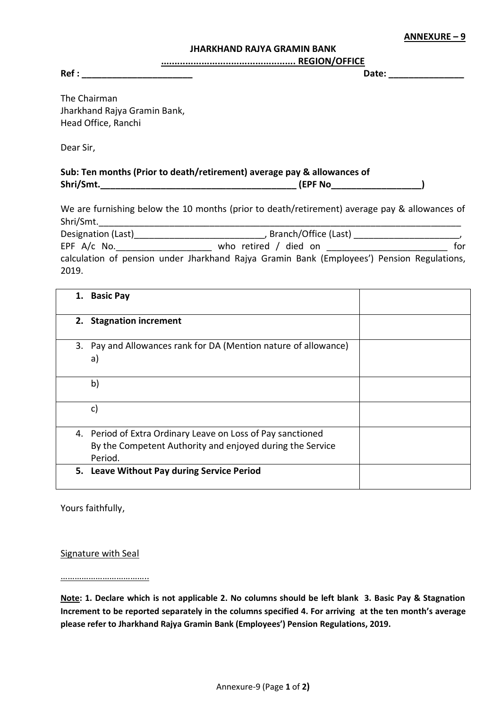**ANNEXURE – 9**

#### **JHARKHAND RAJYA GRAMIN BANK**

**.................................................. REGION/OFFICE**

**Ref : \_\_\_\_\_\_\_\_\_\_\_\_\_\_\_\_\_\_\_\_\_\_ Date: \_\_\_\_\_\_\_\_\_\_\_\_\_\_\_**

The Chairman Jharkhand Rajya Gramin Bank, Head Office, Ranchi

Dear Sir,

**Sub: Ten months (Prior to death/retirement) average pay & allowances of Shri/Smt.\_\_\_\_\_\_\_\_\_\_\_\_\_\_\_\_\_\_\_\_\_\_\_\_\_\_\_\_\_\_\_\_\_\_\_\_\_\_\_ (EPF No\_\_\_\_\_\_\_\_\_\_\_\_\_\_\_\_\_\_)**

We are furnishing below the 10 months (prior to death/retirement) average pay & allowances of Shri/Smt.

| Designation (Last) | Branch/Office (Last)  |     |
|--------------------|-----------------------|-----|
| EPF $A/c$ No.      | who retired / died on | for |

calculation of pension under Jharkhand Rajya Gramin Bank (Employees') Pension Regulations, 2019.

| 1. | <b>Basic Pay</b>                                                                                                                    |  |
|----|-------------------------------------------------------------------------------------------------------------------------------------|--|
|    | 2. Stagnation increment                                                                                                             |  |
|    | 3. Pay and Allowances rank for DA (Mention nature of allowance)<br>a)                                                               |  |
|    | b)                                                                                                                                  |  |
|    | c)                                                                                                                                  |  |
|    | 4. Period of Extra Ordinary Leave on Loss of Pay sanctioned<br>By the Competent Authority and enjoyed during the Service<br>Period. |  |
|    | 5. Leave Without Pay during Service Period                                                                                          |  |

Yours faithfully,

Signature with Seal

………………………………..

**Note: 1. Declare which is not applicable 2. No columns should be left blank 3. Basic Pay & Stagnation Increment to be reported separately in the columns specified 4. For arriving at the ten month's average please refer to Jharkhand Rajya Gramin Bank (Employees') Pension Regulations, 2019.**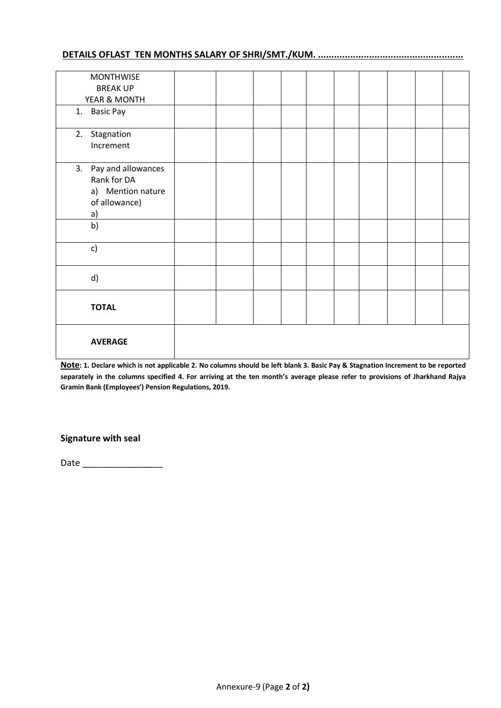# **DETAILS OFLAST TEN MONTHS SALARY OF SHRI/SMT./KUM. ......................................................**

| <b>MONTHWISE</b>      |  |  |  |  |  |
|-----------------------|--|--|--|--|--|
| <b>BREAK UP</b>       |  |  |  |  |  |
| YEAR & MONTH          |  |  |  |  |  |
|                       |  |  |  |  |  |
| 1. Basic Pay          |  |  |  |  |  |
| Stagnation<br>2.      |  |  |  |  |  |
| Increment             |  |  |  |  |  |
|                       |  |  |  |  |  |
| 3. Pay and allowances |  |  |  |  |  |
| Rank for DA           |  |  |  |  |  |
| a) Mention nature     |  |  |  |  |  |
| of allowance)         |  |  |  |  |  |
| a)                    |  |  |  |  |  |
| b)                    |  |  |  |  |  |
|                       |  |  |  |  |  |
| c)                    |  |  |  |  |  |
|                       |  |  |  |  |  |
| d)                    |  |  |  |  |  |
|                       |  |  |  |  |  |
|                       |  |  |  |  |  |
| <b>TOTAL</b>          |  |  |  |  |  |
|                       |  |  |  |  |  |
|                       |  |  |  |  |  |
| <b>AVERAGE</b>        |  |  |  |  |  |
|                       |  |  |  |  |  |
|                       |  |  |  |  |  |

**Note: 1. Declare which is not applicable 2. No columns should be left blank 3. Basic Pay & Stagnation Increment to be reported separately in the columns specified 4. For arriving at the ten month's average please refer to provisions of Jharkhand Rajya Gramin Bank (Employees') Pension Regulations, 2019.**

# **Signature with seal**

Date \_\_\_\_\_\_\_\_\_\_\_\_\_\_\_\_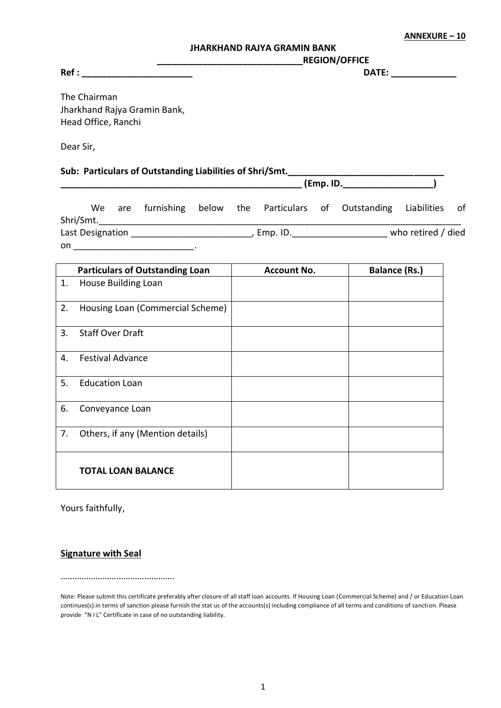**ANNEXURE – 10**

#### **JHARKHAND RAJYA GRAMIN BANK**

**Ref :**  $\blacksquare$ 

**\_\_\_\_\_\_\_\_\_\_\_\_\_\_\_\_\_\_\_\_\_\_\_\_\_\_\_\_\_REGION/OFFICE**

The Chairman Jharkhand Rajya Gramin Bank, Head Office, Ranchi

Dear Sir,

# Sub: Particulars of Outstanding Liabilities of Shri/Smt.<br>.Emp. ID.

|           |                                                                                                                | (Emp. ID. |                             |  |                                                                       |                    |  |
|-----------|----------------------------------------------------------------------------------------------------------------|-----------|-----------------------------|--|-----------------------------------------------------------------------|--------------------|--|
| Shri/Smt. |                                                                                                                |           |                             |  | We are furnishing below the Particulars of Outstanding Liabilities of |                    |  |
|           | Last Designation and the control of the control of the control of the control of the control of the control of |           | , Emp. ID._________________ |  |                                                                       | who retired / died |  |
| on.       |                                                                                                                |           |                             |  |                                                                       |                    |  |

|    | <b>Particulars of Outstanding Loan</b> | <b>Account No.</b> | <b>Balance (Rs.)</b> |
|----|----------------------------------------|--------------------|----------------------|
| 1. | <b>House Building Loan</b>             |                    |                      |
| 2. | Housing Loan (Commercial Scheme)       |                    |                      |
| 3. | <b>Staff Over Draft</b>                |                    |                      |
| 4. | <b>Festival Advance</b>                |                    |                      |
| 5. | <b>Education Loan</b>                  |                    |                      |
| 6. | Conveyance Loan                        |                    |                      |
| 7. | Others, if any (Mention details)       |                    |                      |
|    | <b>TOTAL LOAN BALANCE</b>              |                    |                      |

Yours faithfully,

# **Signature with Seal**

………………………………………….

Note: Please submit this certificate preferably after closure of all staff loan accounts. If Housing Loan (Commercial Scheme) and / or Education Loan continues(s).in terms of sanction please furnish the stat us of the accounts(s) including compliance of all terms and conditions of sanction. Please provide "N I L" Certificate in case of no outstanding liability.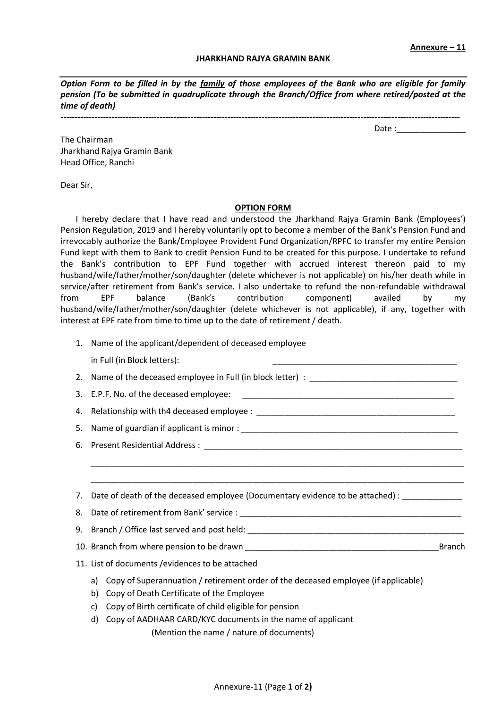Date :

#### **JHARKHAND RAJYA GRAMIN BANK**

*Option Form to be filled in by the family of those employees of the Bank who are eligible for family pension (To be submitted in quadruplicate through the Branch/Office from where retired/posted at the time of death)*

*---------------------------------------------------------------------------------------------------------------------------------------------*

The Chairman Jharkhand Rajya Gramin Bank Head Office, Ranchi

Dear Sir,

#### **OPTION FORM**

I hereby declare that I have read and understood the Jharkhand Rajya Gramin Bank (Employees') Pension Regulation, 2019 and I hereby voluntarily opt to become a member of the Bank's Pension Fund and irrevocably authorize the Bank/Employee Provident Fund Organization/RPFC to transfer my entire Pension Fund kept with them to Bank to credit Pension Fund to be created for this purpose. I undertake to refund the Bank's contribution to EPF Fund together with accrued interest thereon paid to my husband/wife/father/mother/son/daughter (delete whichever is not applicable) on his/her death while in service/after retirement from Bank's service. I also undertake to refund the non-refundable withdrawal from EPF balance (Bank's contribution component) availed by my husband/wife/father/mother/son/daughter (delete whichever is not applicable), if any, together with interest at EPF rate from time to time up to the date of retirement / death.

- 1. Name of the applicant/dependent of deceased employee in Full (in Block letters):
- 2. Name of the deceased employee in Full (in block letter) : \_\_\_\_\_\_\_\_\_\_\_\_\_\_\_\_\_\_\_\_\_\_\_\_\_\_\_\_\_\_\_\_
- 3. E.P.F. No. of the deceased employee:
- 4. Relationship with th4 deceased employee :
- 5. Name of guardian if applicant is minor : \_\_\_\_\_\_\_\_\_\_\_\_\_\_\_\_\_\_\_\_\_\_\_\_\_\_\_\_\_\_\_\_\_\_\_\_\_\_\_\_\_\_\_\_\_\_\_
- 6. Present Residential Address : \_\_
- 7. Date of death of the deceased employee (Documentary evidence to be attached) :
- 8. Date of retirement from Bank' service :
- 9. Branch / Office last served and post held: \_\_\_\_\_\_\_\_\_\_\_\_\_\_\_\_\_\_\_\_\_\_\_\_\_\_\_\_\_\_\_\_\_\_

\_\_\_\_\_\_\_\_\_\_\_\_\_\_\_\_\_\_\_\_\_\_\_\_\_\_\_\_\_\_\_\_\_\_\_\_\_\_\_\_\_\_\_\_\_\_\_\_\_\_\_\_\_\_\_\_\_\_\_\_\_\_\_\_\_\_\_\_\_\_\_\_\_\_\_\_\_\_\_\_\_ \_\_\_\_\_\_\_\_\_\_\_\_\_\_\_\_\_\_\_\_\_\_\_\_\_\_\_\_\_\_\_\_\_\_\_\_\_\_\_\_\_\_\_\_\_\_\_\_\_\_\_\_\_\_\_\_\_\_\_\_\_\_\_\_\_\_\_\_\_\_\_\_\_\_\_\_\_\_\_\_\_

- 10. Branch from where pension to be drawn \_\_\_\_\_\_\_\_\_\_\_\_\_\_\_\_\_\_\_\_\_\_\_\_\_\_\_\_\_\_\_\_\_\_\_\_\_\_\_\_\_\_Branch
- 11. List of documents /evidences to be attached
	- a) Copy of Superannuation / retirement order of the deceased employee (if applicable)
	- b) Copy of Death Certificate of the Employee
	- c) Copy of Birth certificate of child eligible for pension
	- d) Copy of AADHAAR CARD/KYC documents in the name of applicant
		- (Mention the name / nature of documents)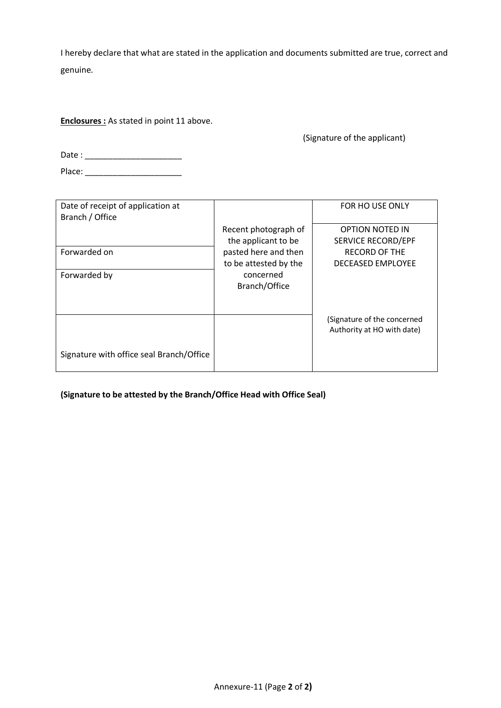I hereby declare that what are stated in the application and documents submitted are true, correct and genuine.

**Enclosures :** As stated in point 11 above.

(Signature of the applicant)

Date : \_\_\_\_\_\_\_\_\_\_\_\_\_\_\_\_\_\_\_\_\_

Place: \_\_\_\_\_\_\_\_\_\_\_\_\_\_\_\_\_\_\_\_\_

| Date of receipt of application at        |                       | FOR HO USE ONLY                                           |
|------------------------------------------|-----------------------|-----------------------------------------------------------|
| Branch / Office                          |                       |                                                           |
|                                          | Recent photograph of  | <b>OPTION NOTED IN</b>                                    |
|                                          | the applicant to be   | <b>SERVICE RECORD/EPF</b>                                 |
| Forwarded on                             | pasted here and then  | <b>RECORD OF THE</b>                                      |
|                                          | to be attested by the | <b>DECEASED EMPLOYEE</b>                                  |
| Forwarded by                             | concerned             |                                                           |
|                                          | Branch/Office         |                                                           |
|                                          |                       |                                                           |
|                                          |                       |                                                           |
|                                          |                       | (Signature of the concerned<br>Authority at HO with date) |
|                                          |                       |                                                           |
| Signature with office seal Branch/Office |                       |                                                           |

**(Signature to be attested by the Branch/Office Head with Office Seal)**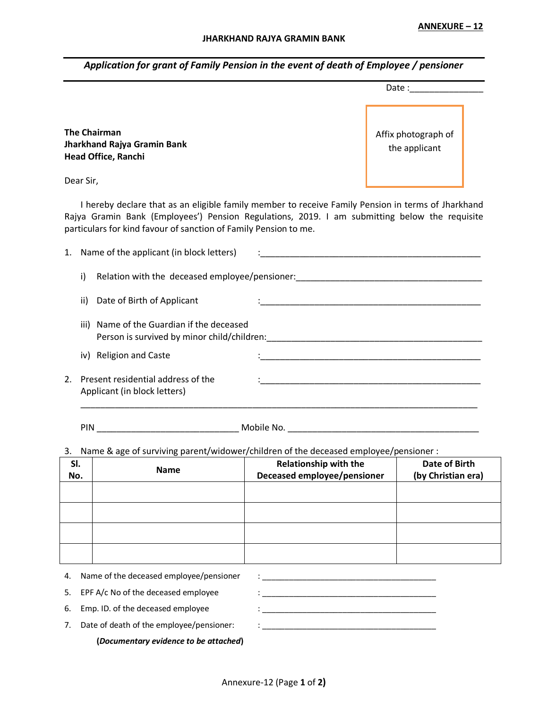*Application for grant of Family Pension in the event of death of Employee / pensioner*

|    |                                                                                  |                                          |                                                                                                                                                                                                                                                                         | Date: the contract of the contract of the contract of the contract of the contract of the contract of the contract of the contract of the contract of the contract of the contract of the contract of the contract of the cont |  |
|----|----------------------------------------------------------------------------------|------------------------------------------|-------------------------------------------------------------------------------------------------------------------------------------------------------------------------------------------------------------------------------------------------------------------------|--------------------------------------------------------------------------------------------------------------------------------------------------------------------------------------------------------------------------------|--|
|    | <b>The Chairman</b><br>Jharkhand Rajya Gramin Bank<br><b>Head Office, Ranchi</b> |                                          |                                                                                                                                                                                                                                                                         | Affix photograph of<br>the applicant                                                                                                                                                                                           |  |
|    | Dear Sir,                                                                        |                                          |                                                                                                                                                                                                                                                                         |                                                                                                                                                                                                                                |  |
|    |                                                                                  |                                          | I hereby declare that as an eligible family member to receive Family Pension in terms of Jharkhand<br>Rajya Gramin Bank (Employees') Pension Regulations, 2019. I am submitting below the requisite<br>particulars for kind favour of sanction of Family Pension to me. |                                                                                                                                                                                                                                |  |
| 1. |                                                                                  | Name of the applicant (in block letters) | <u> 1980 - Jan Barbara, masonar a shekara 1980 - An</u>                                                                                                                                                                                                                 |                                                                                                                                                                                                                                |  |
|    | i)                                                                               |                                          | Relation with the deceased employee/pensioner:<br>                                                                                                                                                                                                                      |                                                                                                                                                                                                                                |  |
|    | ii)<br>Date of Birth of Applicant                                                |                                          |                                                                                                                                                                                                                                                                         |                                                                                                                                                                                                                                |  |
|    | iii)                                                                             | Name of the Guardian if the deceased     |                                                                                                                                                                                                                                                                         |                                                                                                                                                                                                                                |  |
|    | iv) Religion and Caste                                                           |                                          |                                                                                                                                                                                                                                                                         |                                                                                                                                                                                                                                |  |
| 2. | Present residential address of the<br>Applicant (in block letters)               |                                          |                                                                                                                                                                                                                                                                         |                                                                                                                                                                                                                                |  |

PIN \_\_\_\_\_\_\_\_\_\_\_\_\_\_\_\_\_\_\_\_\_\_\_\_\_\_\_\_\_ Mobile No. \_\_\_\_\_\_\_\_\_\_\_\_\_\_\_\_\_\_\_\_\_\_\_\_\_\_\_\_\_\_\_\_\_\_\_\_\_\_\_

3. Name & age of surviving parent/widower/children of the deceased employee/pensioner :

| SI.<br>No. | <b>Name</b>                             | <b>Relationship with the</b><br>Deceased employee/pensioner | <b>Date of Birth</b><br>(by Christian era) |
|------------|-----------------------------------------|-------------------------------------------------------------|--------------------------------------------|
|            |                                         |                                                             |                                            |
|            |                                         |                                                             |                                            |
|            |                                         |                                                             |                                            |
|            |                                         |                                                             |                                            |
| 4.         | Name of the deceased employee/pensioner |                                                             |                                            |

 $\_$ 

|    | 5. EPF A/c No of the deceased employee   |  |
|----|------------------------------------------|--|
|    | 6. Emp. ID. of the deceased employee     |  |
| 7. | Date of death of the employee/pensioner: |  |
|    | (Documentary evidence to be attached)    |  |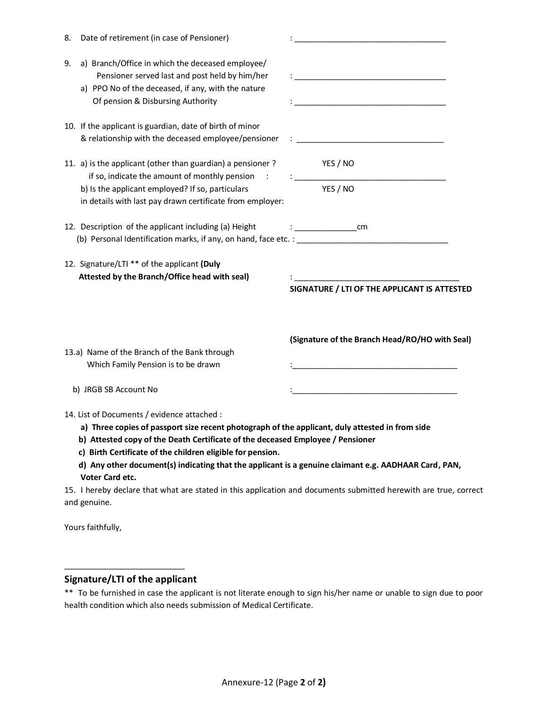| a) Branch/Office in which the deceased employee/<br>9.<br>Pensioner served last and post held by him/her<br>a) PPO No of the deceased, if any, with the nature<br>Of pension & Disbursing Authority<br><u> 1989 - Johann Barn, mars ann an t-Amhain an t-Amhain an t-Amhain an t-Amhain an t-Amhain an t-Amhain an t-Amh</u><br>10. If the applicant is guardian, date of birth of minor<br>& relationship with the deceased employee/pensioner<br><u> 1980 - Jan James James, martin amerikan basar dan bagi dan bagi dari dalam basar dan bagi dan bagi dalam bagi </u><br>11. a) is the applicant (other than guardian) a pensioner?<br>YES / NO<br>if so, indicate the amount of monthly pension<br>YES / NO<br>b) Is the applicant employed? If so, particulars<br>in details with last pay drawn certificate from employer:<br>12. Description of the applicant including (a) Height<br>12. Signature/LTI ** of the applicant (Duly<br>Attested by the Branch/Office head with seal)<br><u> 1989 - Johann Barn, mars ann an t-Amhain an t-Amhain an t-Amhain an t-Amhain an t-Amhain an t-Amhain an t-Amh</u><br>SIGNATURE / LTI OF THE APPLICANT IS ATTESTED<br>(Signature of the Branch Head/RO/HO with Seal)<br>13.a) Name of the Branch of the Bank through<br>Which Family Pension is to be drawn<br>b) JRGB SB Account No<br>14. List of Documents / evidence attached :<br>a) Three copies of passport size recent photograph of the applicant, duly attested in from side<br>b) Attested copy of the Death Certificate of the deceased Employee / Pensioner<br>c) Birth Certificate of the children eligible for pension.<br>d) Any other document(s) indicating that the applicant is a genuine claimant e.g. AADHAAR Card, PAN,<br>Voter Card etc.<br>15. I hereby declare that what are stated in this application and documents submitted herewith are true, correct | 8. | Date of retirement (in case of Pensioner) |  |
|----------------------------------------------------------------------------------------------------------------------------------------------------------------------------------------------------------------------------------------------------------------------------------------------------------------------------------------------------------------------------------------------------------------------------------------------------------------------------------------------------------------------------------------------------------------------------------------------------------------------------------------------------------------------------------------------------------------------------------------------------------------------------------------------------------------------------------------------------------------------------------------------------------------------------------------------------------------------------------------------------------------------------------------------------------------------------------------------------------------------------------------------------------------------------------------------------------------------------------------------------------------------------------------------------------------------------------------------------------------------------------------------------------------------------------------------------------------------------------------------------------------------------------------------------------------------------------------------------------------------------------------------------------------------------------------------------------------------------------------------------------------------------------------------------------------------------------------------------------------------------------------|----|-------------------------------------------|--|
|                                                                                                                                                                                                                                                                                                                                                                                                                                                                                                                                                                                                                                                                                                                                                                                                                                                                                                                                                                                                                                                                                                                                                                                                                                                                                                                                                                                                                                                                                                                                                                                                                                                                                                                                                                                                                                                                                        |    |                                           |  |
|                                                                                                                                                                                                                                                                                                                                                                                                                                                                                                                                                                                                                                                                                                                                                                                                                                                                                                                                                                                                                                                                                                                                                                                                                                                                                                                                                                                                                                                                                                                                                                                                                                                                                                                                                                                                                                                                                        |    |                                           |  |
|                                                                                                                                                                                                                                                                                                                                                                                                                                                                                                                                                                                                                                                                                                                                                                                                                                                                                                                                                                                                                                                                                                                                                                                                                                                                                                                                                                                                                                                                                                                                                                                                                                                                                                                                                                                                                                                                                        |    |                                           |  |
|                                                                                                                                                                                                                                                                                                                                                                                                                                                                                                                                                                                                                                                                                                                                                                                                                                                                                                                                                                                                                                                                                                                                                                                                                                                                                                                                                                                                                                                                                                                                                                                                                                                                                                                                                                                                                                                                                        |    |                                           |  |
|                                                                                                                                                                                                                                                                                                                                                                                                                                                                                                                                                                                                                                                                                                                                                                                                                                                                                                                                                                                                                                                                                                                                                                                                                                                                                                                                                                                                                                                                                                                                                                                                                                                                                                                                                                                                                                                                                        |    |                                           |  |
|                                                                                                                                                                                                                                                                                                                                                                                                                                                                                                                                                                                                                                                                                                                                                                                                                                                                                                                                                                                                                                                                                                                                                                                                                                                                                                                                                                                                                                                                                                                                                                                                                                                                                                                                                                                                                                                                                        |    |                                           |  |
|                                                                                                                                                                                                                                                                                                                                                                                                                                                                                                                                                                                                                                                                                                                                                                                                                                                                                                                                                                                                                                                                                                                                                                                                                                                                                                                                                                                                                                                                                                                                                                                                                                                                                                                                                                                                                                                                                        |    |                                           |  |
|                                                                                                                                                                                                                                                                                                                                                                                                                                                                                                                                                                                                                                                                                                                                                                                                                                                                                                                                                                                                                                                                                                                                                                                                                                                                                                                                                                                                                                                                                                                                                                                                                                                                                                                                                                                                                                                                                        |    |                                           |  |
| and genuine.                                                                                                                                                                                                                                                                                                                                                                                                                                                                                                                                                                                                                                                                                                                                                                                                                                                                                                                                                                                                                                                                                                                                                                                                                                                                                                                                                                                                                                                                                                                                                                                                                                                                                                                                                                                                                                                                           |    |                                           |  |

Yours faithfully,

# **Signature/LTI of the applicant**

\_\_\_\_\_\_\_\_\_\_\_\_\_\_\_\_\_\_\_\_\_\_\_\_\_\_\_

\*\* To be furnished in case the applicant is not literate enough to sign his/her name or unable to sign due to poor health condition which also needs submission of Medical Certificate.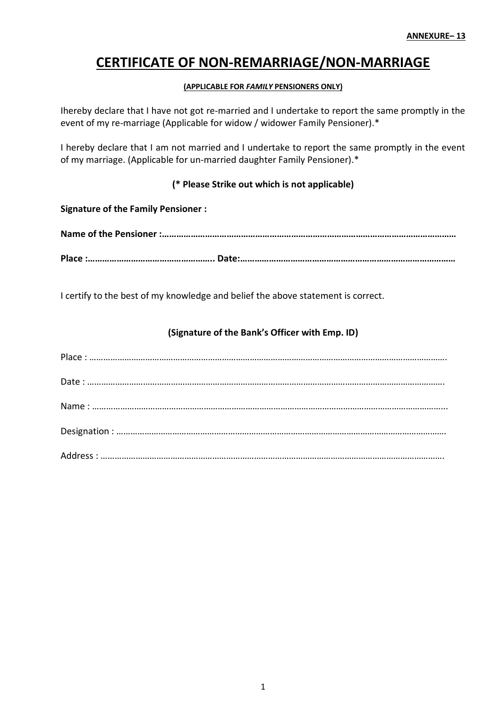# **CERTIFICATE OF NON-REMARRIAGE/NON-MARRIAGE**

# **(APPLICABLE FOR** *FAMILY* **PENSIONERS ONLY)**

Ihereby declare that I have not got re-married and I undertake to report the same promptly in the event of my re-marriage (Applicable for widow / widower Family Pensioner).\*

I hereby declare that I am not married and I undertake to report the same promptly in the event of my marriage. (Applicable for un-married daughter Family Pensioner).\*

# **(\* Please Strike out which is not applicable)**

**Name of the Pensioner :…………………………………………………………………………………………………………… Place :…………………………………………….. Date:………………………………………………………………………………**

I certify to the best of my knowledge and belief the above statement is correct.

# **(Signature of the Bank's Officer with Emp. ID)**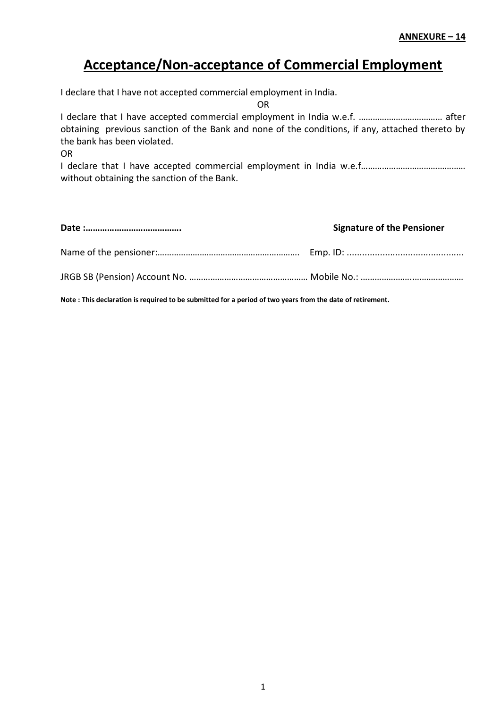# **Acceptance/Non-acceptance of Commercial Employment**

I declare that I have not accepted commercial employment in India.

OR

I declare that I have accepted commercial employment in India w.e.f. ……………………………… after obtaining previous sanction of the Bank and none of the conditions, if any, attached thereto by the bank has been violated.

OR

I declare that I have accepted commercial employment in India w.e.f……………………………………… without obtaining the sanction of the Bank.

| <b>Signature of the Pensioner</b> |
|-----------------------------------|
|                                   |
|                                   |

**Note : This declaration is required to be submitted for a period of two years from the date of retirement.**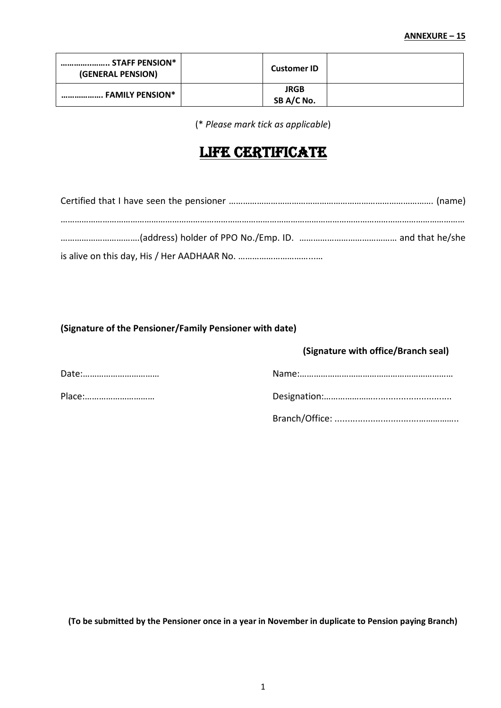| STAFF PENSION*<br>(GENERAL PENSION) | <b>Customer ID</b>        |  |
|-------------------------------------|---------------------------|--|
| FAMILY PENSION*                     | <b>JRGB</b><br>SB A/C No. |  |

(\* *Please mark tick as applicable*)

# LIFE CERTIFICATE

# **(Signature of the Pensioner/Family Pensioner with date)**

# **(Signature with office/Branch seal)**

| Date:  |  |
|--------|--|
| Place: |  |
|        |  |

**(To be submitted by the Pensioner once in a year in November in duplicate to Pension paying Branch)**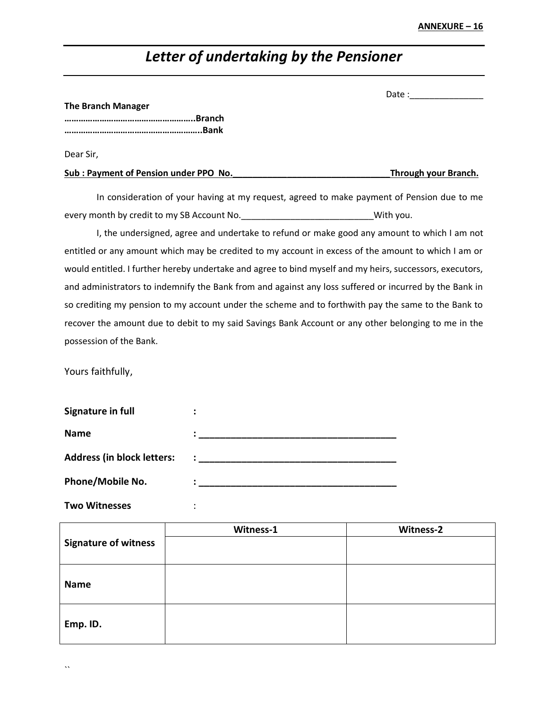# *Letter of undertaking by the Pensioner*

| Date : |  |
|--------|--|
|        |  |
|        |  |

#### **The Branch Manager**

**………………………………………………..Branch …………………………………………………..Bank**

Dear Sir,

| Sub: Payment of Pension under PPO No. | Through your Branch. |
|---------------------------------------|----------------------|
|                                       |                      |

In consideration of your having at my request, agreed to make payment of Pension due to me every month by credit to my SB Account No. \_\_\_\_\_\_\_\_\_\_\_\_\_\_\_\_\_\_\_\_\_\_\_\_\_\_\_\_\_\_\_\_\_\_With you.

I, the undersigned, agree and undertake to refund or make good any amount to which I am not entitled or any amount which may be credited to my account in excess of the amount to which I am or would entitled. I further hereby undertake and agree to bind myself and my heirs, successors, executors, and administrators to indemnify the Bank from and against any loss suffered or incurred by the Bank in so crediting my pension to my account under the scheme and to forthwith pay the same to the Bank to recover the amount due to debit to my said Savings Bank Account or any other belonging to me in the possession of the Bank.

Yours faithfully,

| Signature in full                 |              |
|-----------------------------------|--------------|
| <b>Name</b>                       |              |
| <b>Address (in block letters:</b> | $\mathbf{r}$ |
| <b>Phone/Mobile No.</b>           |              |

**Two Witnesses** :

|                             | Witness-1 | Witness-2 |
|-----------------------------|-----------|-----------|
| <b>Signature of witness</b> |           |           |
|                             |           |           |
|                             |           |           |
| <b>Name</b>                 |           |           |
|                             |           |           |
|                             |           |           |
| Emp. ID.                    |           |           |
|                             |           |           |

 $\ddot{\phantom{0}}$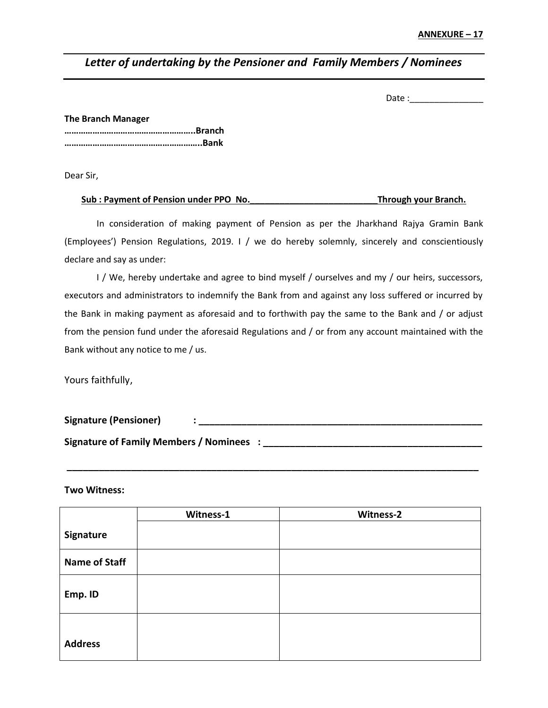# *Letter of undertaking by the Pensioner and Family Members / Nominees*

Date :\_\_\_\_\_\_\_\_\_\_\_\_\_\_\_

**The Branch Manager ………………………………………………..Branch …………………………………………………..Bank**

Dear Sir,

# **Sub : Payment of Pension under PPO No.\_\_\_\_\_\_\_\_\_\_\_\_\_\_\_\_\_\_\_\_\_\_\_\_\_\_Through your Branch.**

In consideration of making payment of Pension as per the Jharkhand Rajya Gramin Bank (Employees') Pension Regulations, 2019. I / we do hereby solemnly, sincerely and conscientiously declare and say as under:

I / We, hereby undertake and agree to bind myself / ourselves and my / our heirs, successors, executors and administrators to indemnify the Bank from and against any loss suffered or incurred by the Bank in making payment as aforesaid and to forthwith pay the same to the Bank and / or adjust from the pension fund under the aforesaid Regulations and / or from any account maintained with the Bank without any notice to me / us.

Yours faithfully,

**Signature (Pensioner) : \_\_\_\_\_\_\_\_\_\_\_\_\_\_\_\_\_\_\_\_\_\_\_\_\_\_\_\_\_\_\_\_\_\_\_\_\_\_\_\_\_\_\_\_\_\_\_\_\_\_\_\_\_ Signature of Family Members / Nominees : \_\_\_\_\_\_\_\_\_\_\_\_\_\_\_\_\_\_\_\_\_\_\_\_\_\_\_\_\_\_\_\_\_\_\_\_\_\_\_\_\_**

**\_\_\_\_\_\_\_\_\_\_\_\_\_\_\_\_\_\_\_\_\_\_\_\_\_\_\_\_\_\_\_\_\_\_\_\_\_\_\_\_\_\_\_\_\_\_\_\_\_\_\_\_\_\_\_\_\_\_\_\_\_\_\_\_\_\_\_\_\_\_\_\_\_\_\_\_\_**

**Two Witness:**

|                      | Witness-1 | Witness-2 |
|----------------------|-----------|-----------|
| Signature            |           |           |
| <b>Name of Staff</b> |           |           |
| Emp. ID              |           |           |
| <b>Address</b>       |           |           |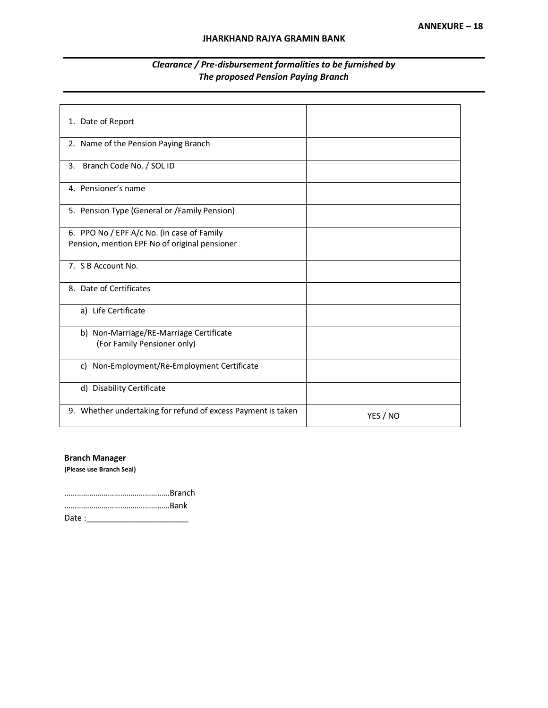| 1. Date of Report                                                      |          |
|------------------------------------------------------------------------|----------|
| 2. Name of the Pension Paying Branch                                   |          |
| Branch Code No. / SOL ID<br>3.                                         |          |
| 4. Pensioner's name                                                    |          |
| 5. Pension Type (General or /Family Pension)                           |          |
| 6. PPO No / EPF A/c No. (in case of Family                             |          |
| Pension, mention EPF No of original pensioner                          |          |
| 7. S B Account No.                                                     |          |
| 8. Date of Certificates                                                |          |
| a) Life Certificate                                                    |          |
| b) Non-Marriage/RE-Marriage Certificate<br>(For Family Pensioner only) |          |
| c) Non-Employment/Re-Employment Certificate                            |          |
| d) Disability Certificate                                              |          |
| 9. Whether undertaking for refund of excess Payment is taken           | YES / NO |

# *Clearance / Pre-disbursement formalities to be furnished by The proposed Pension Paying Branch*

## **Branch Manager**

**(Please use Branch Seal)**

……………………………………………Branch ……………………………………………Bank Date :\_\_\_\_\_\_\_\_\_\_\_\_\_\_\_\_\_\_\_\_\_\_\_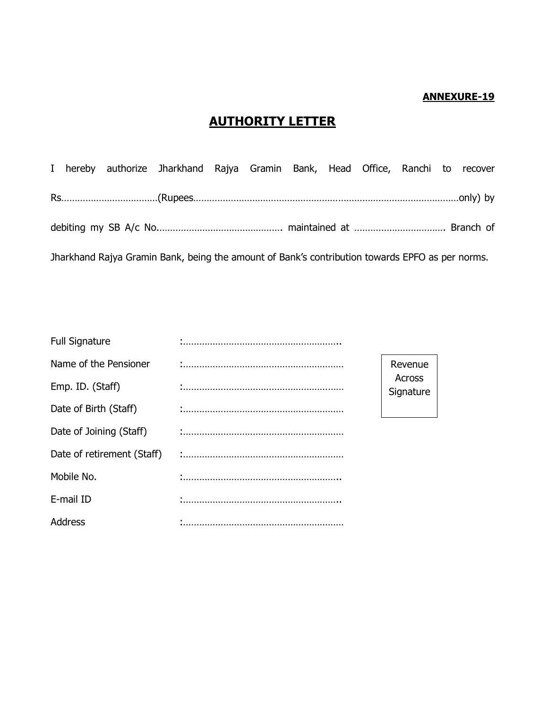# **ANNEXURE-19**

# **AUTHORITY LETTER**

|  | I hereby authorize Jharkhand Rajya Gramin Bank, Head Office, Ranchi to recover                  |  |  |  |  |
|--|-------------------------------------------------------------------------------------------------|--|--|--|--|
|  |                                                                                                 |  |  |  |  |
|  |                                                                                                 |  |  |  |  |
|  | Jharkhand Rajya Gramin Bank, being the amount of Bank's contribution towards EPFO as per norms. |  |  |  |  |

| <b>Full Signature</b>      |                     |  |
|----------------------------|---------------------|--|
| Name of the Pensioner      | Revenue             |  |
| Emp. ID. (Staff)           | Across<br>Signature |  |
| Date of Birth (Staff)      |                     |  |
| Date of Joining (Staff)    |                     |  |
| Date of retirement (Staff) |                     |  |
| Mobile No.                 |                     |  |
| E-mail ID                  |                     |  |
| Address                    |                     |  |